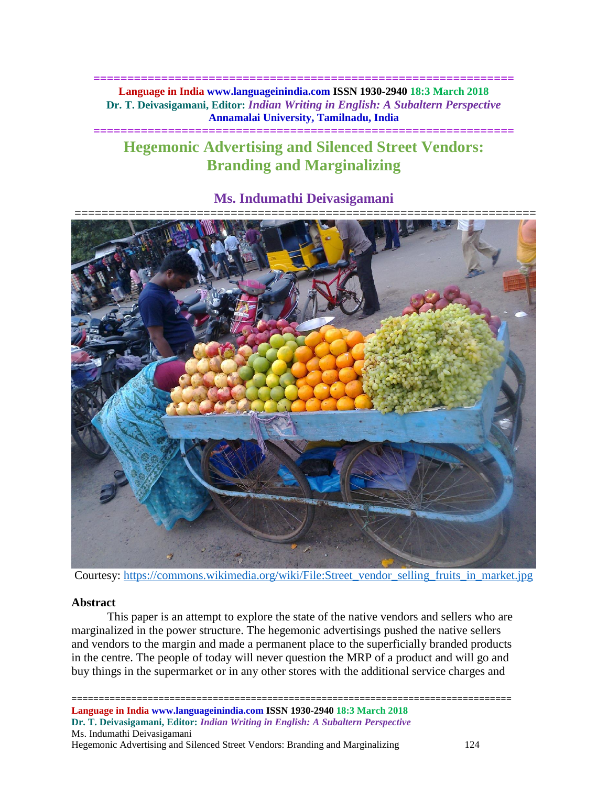## **============================================================== Language in India www.languageinindia.com ISSN 1930-2940 18:3 March 2018 Dr. T. Deivasigamani, Editor:** *Indian Writing in English: A Subaltern Perspective* **Annamalai University, Tamilnadu, India**

**==============================================================**

# **Hegemonic Advertising and Silenced Street Vendors: Branding and Marginalizing**

# **Ms. Indumathi Deivasigamani**



Courtesy: [https://commons.wikimedia.org/wiki/File:Street\\_vendor\\_selling\\_fruits\\_in\\_market.jpg](https://commons.wikimedia.org/wiki/File:Street_vendor_selling_fruits_in_market.jpg)

## **Abstract**

This paper is an attempt to explore the state of the native vendors and sellers who are marginalized in the power structure. The hegemonic advertisings pushed the native sellers and vendors to the margin and made a permanent place to the superficially branded products in the centre. The people of today will never question the MRP of a product and will go and buy things in the supermarket or in any other stores with the additional service charges and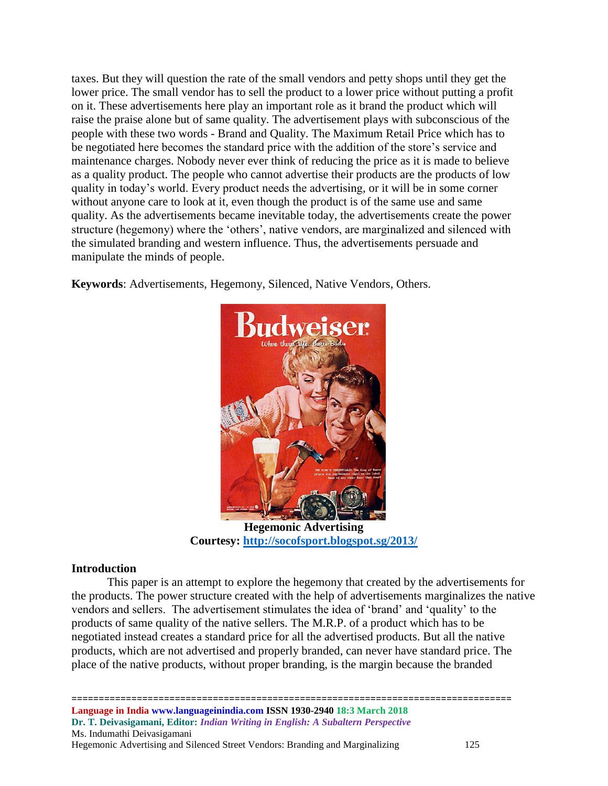taxes. But they will question the rate of the small vendors and petty shops until they get the lower price. The small vendor has to sell the product to a lower price without putting a profit on it. These advertisements here play an important role as it brand the product which will raise the praise alone but of same quality. The advertisement plays with subconscious of the people with these two words - Brand and Quality. The Maximum Retail Price which has to be negotiated here becomes the standard price with the addition of the store's service and maintenance charges. Nobody never ever think of reducing the price as it is made to believe as a quality product. The people who cannot advertise their products are the products of low quality in today's world. Every product needs the advertising, or it will be in some corner without anyone care to look at it, even though the product is of the same use and same quality. As the advertisements became inevitable today, the advertisements create the power structure (hegemony) where the 'others', native vendors, are marginalized and silenced with the simulated branding and western influence. Thus, the advertisements persuade and manipulate the minds of people.

**Keywords**: Advertisements, Hegemony, Silenced, Native Vendors, Others*.*



**Courtesy:<http://socofsport.blogspot.sg/2013/>**

# **Introduction**

This paper is an attempt to explore the hegemony that created by the advertisements for the products. The power structure created with the help of advertisements marginalizes the native vendors and sellers. The advertisement stimulates the idea of 'brand' and 'quality' to the products of same quality of the native sellers. The M.R.P. of a product which has to be negotiated instead creates a standard price for all the advertised products. But all the native products, which are not advertised and properly branded, can never have standard price. The place of the native products, without proper branding, is the margin because the branded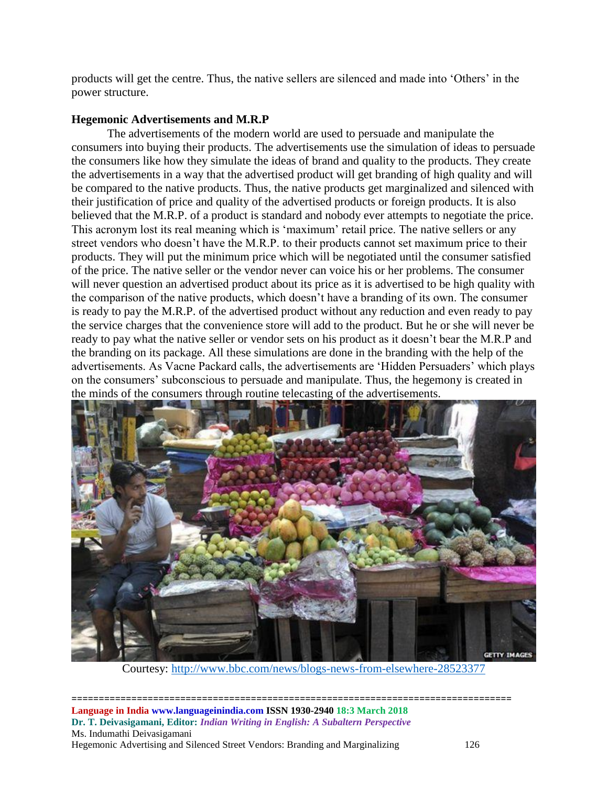products will get the centre. Thus, the native sellers are silenced and made into 'Others' in the power structure.

# **Hegemonic Advertisements and M.R.P**

The advertisements of the modern world are used to persuade and manipulate the consumers into buying their products. The advertisements use the simulation of ideas to persuade the consumers like how they simulate the ideas of brand and quality to the products. They create the advertisements in a way that the advertised product will get branding of high quality and will be compared to the native products. Thus, the native products get marginalized and silenced with their justification of price and quality of the advertised products or foreign products. It is also believed that the M.R.P. of a product is standard and nobody ever attempts to negotiate the price. This acronym lost its real meaning which is 'maximum' retail price. The native sellers or any street vendors who doesn't have the M.R.P. to their products cannot set maximum price to their products. They will put the minimum price which will be negotiated until the consumer satisfied of the price. The native seller or the vendor never can voice his or her problems. The consumer will never question an advertised product about its price as it is advertised to be high quality with the comparison of the native products, which doesn't have a branding of its own. The consumer is ready to pay the M.R.P. of the advertised product without any reduction and even ready to pay the service charges that the convenience store will add to the product. But he or she will never be ready to pay what the native seller or vendor sets on his product as it doesn't bear the M.R.P and the branding on its package. All these simulations are done in the branding with the help of the advertisements. As Vacne Packard calls, the advertisements are 'Hidden Persuaders' which plays on the consumers' subconscious to persuade and manipulate. Thus, the hegemony is created in the minds of the consumers through routine telecasting of the advertisements.



Courtesy:<http://www.bbc.com/news/blogs-news-from-elsewhere-28523377>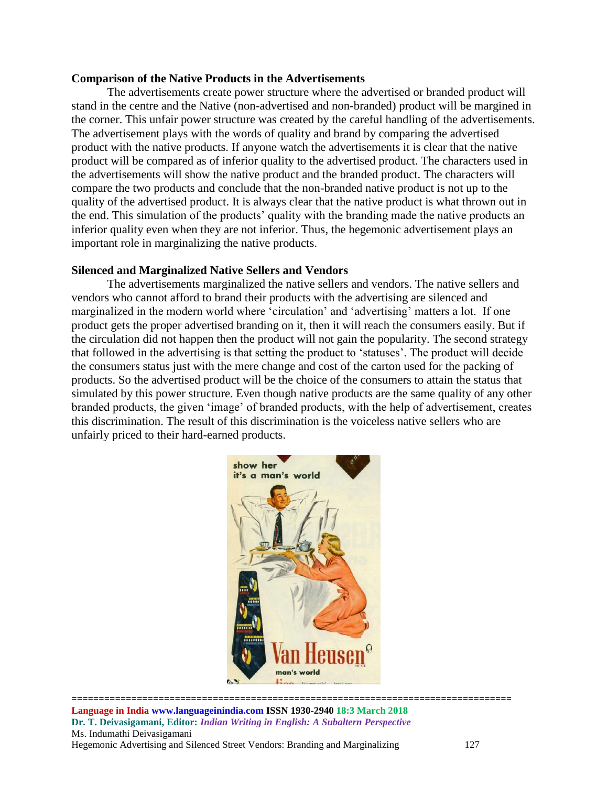#### **Comparison of the Native Products in the Advertisements**

The advertisements create power structure where the advertised or branded product will stand in the centre and the Native (non-advertised and non-branded) product will be margined in the corner. This unfair power structure was created by the careful handling of the advertisements. The advertisement plays with the words of quality and brand by comparing the advertised product with the native products. If anyone watch the advertisements it is clear that the native product will be compared as of inferior quality to the advertised product. The characters used in the advertisements will show the native product and the branded product. The characters will compare the two products and conclude that the non-branded native product is not up to the quality of the advertised product. It is always clear that the native product is what thrown out in the end. This simulation of the products' quality with the branding made the native products an inferior quality even when they are not inferior. Thus, the hegemonic advertisement plays an important role in marginalizing the native products.

#### **Silenced and Marginalized Native Sellers and Vendors**

The advertisements marginalized the native sellers and vendors. The native sellers and vendors who cannot afford to brand their products with the advertising are silenced and marginalized in the modern world where 'circulation' and 'advertising' matters a lot. If one product gets the proper advertised branding on it, then it will reach the consumers easily. But if the circulation did not happen then the product will not gain the popularity. The second strategy that followed in the advertising is that setting the product to 'statuses'. The product will decide the consumers status just with the mere change and cost of the carton used for the packing of products. So the advertised product will be the choice of the consumers to attain the status that simulated by this power structure. Even though native products are the same quality of any other branded products, the given 'image' of branded products, with the help of advertisement, creates this discrimination. The result of this discrimination is the voiceless native sellers who are unfairly priced to their hard-earned products.



================================================================================= **Language in India www.languageinindia.com ISSN 1930-2940 18:3 March 2018 Dr. T. Deivasigamani, Editor:** *Indian Writing in English: A Subaltern Perspective* Ms. Indumathi Deivasigamani